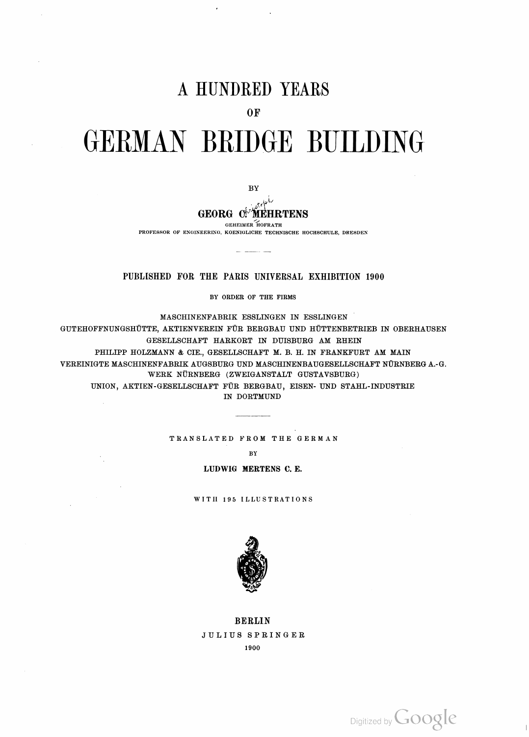# A HUNDRED YEARS

 $0F$ 

# GERMAN BRIDGE BUILDING

BY

**GEORG C. MEHRTENS** 

**GEHEIMER HOFRATH** 

PROFESSOR OF ENGINEERING, KOENIGLICHE TECHNISCHE HOCHSCHULE, DRESDEN

## PUBLISHED FOR THE PARIS UNIVERSAL EXHIBITION 1900

BY ORDER OF THE FIRMS

MASCHINENFABRIK ESSLINGEN IN ESSLINGEN GUTEHOFFNUNGSHÜTTE, AKTIENVEREIN FÜR BERGBAU UND HÜTTENBETRIEB IN OBERHAUSEN GESELLSCHAFT HARKORT IN DUISBURG AM RHEIN PHILIPP HOLZMANN & CIE., GESELLSCHAFT M. B. H. IN FRANKFURT AM MAIN VEREINIGTE MASCHINENFABRIK AUGSBURG UND MASCHINENBAUGESELLSCHAFT NÜRNBERG A.-G. WERK NÜRNBERG (ZWEIGANSTALT GUSTAVSBURG) UNION, AKTIEN-GESELLSCHAFT FÜR BERGBAU, EISEN- UND STAHL-INDUSTRIE IN DORTMUND

TRANSLATED FROM THE GERMAN

 $\sim 10^7$ 

BY

LUDWIG MERTENS C. E.

WITH 195 ILLUSTRATIONS



### **BERLIN**

JULIUS SPRINGER

1900

Digitized by **Google** 

 $\, \vert \,$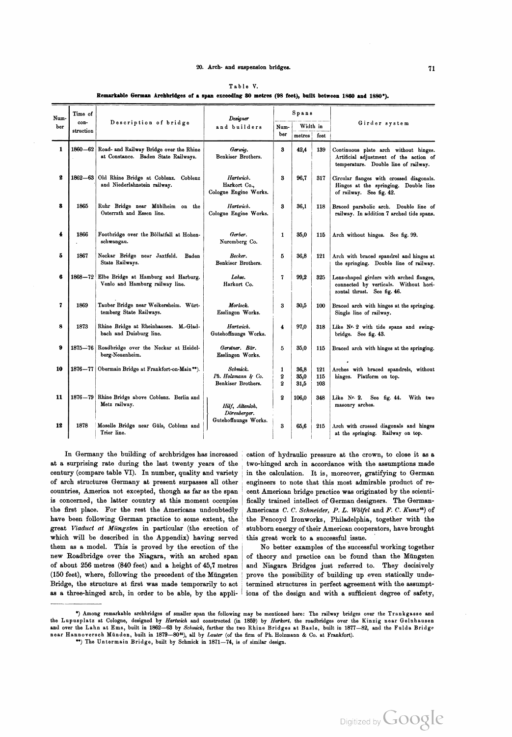#### 20. Arch- and suspension bridges. 71

| corman arenoriuges of a span exceeding ou metres (50 feet), built between 1560 and 1580"). |                              |                                                                                |                                                      |                                   |                      |                   |                                                                                                                         |
|--------------------------------------------------------------------------------------------|------------------------------|--------------------------------------------------------------------------------|------------------------------------------------------|-----------------------------------|----------------------|-------------------|-------------------------------------------------------------------------------------------------------------------------|
| Num-<br>ber                                                                                | Time of<br>con-<br>struction | Description of bridge                                                          | Designer<br>and builders                             | Spans                             |                      |                   |                                                                                                                         |
|                                                                                            |                              |                                                                                |                                                      | Num-<br>ber                       | Width in<br>metres   | feet              | Girder system                                                                                                           |
| 1                                                                                          | 1860-62                      | Road- and Railway Bridge over the Rhine<br>at Constance. Baden State Railways. | Gerwig.<br>Benkiser Brothers.                        | 3                                 | 42,4                 | 139               | Continuous plate arch without hinges.<br>Artificial adjustment of the action of<br>temperature. Double line of railway. |
| 2                                                                                          | $1862 - 63$                  | Old Rhine Bridge at Coblenz. Coblenz<br>and Niederlahnstein railway.           | Hartwich.<br>Harkort Co.,<br>Cologne Engine Works.   | 3                                 | 96,7                 | 317               | Circular flanges with crossed diagonals.<br>Hinges at the springing. Double line<br>of railway. See fig. 42.            |
| 8                                                                                          | 1865                         | Ruhr Bridge near Mühlheim on the<br>Osterrath and Essen line.                  | Hartwich.<br>Cologne Engine Works.                   | 3                                 | 36,1                 | 118               | Braced parabolic arch. Double line of<br>railway. In addition 7 arched tide spans.                                      |
| 4                                                                                          | 1866                         | Footbridge over the Böllatfall at Hohen-<br>schwangau.                         | Gerber.<br>Nuremberg Co.                             | 1                                 | 35,0                 | 115               | Arch without hinges. See fig. 99.                                                                                       |
| 5                                                                                          | 1867                         | Neckar Bridge near Jaxtfeld.<br>Baden<br>State Railways.                       | Becker.<br>Benkiser Brothers.                        | 5                                 | 36,8                 | 121               | Arch with braced spandrel and hinges at<br>the springing. Double line of railway.                                       |
| 6                                                                                          |                              | 1868-72 Elbe Bridge at Hamburg and Harburg.<br>Venlo and Hamburg railway line. | Lohse.<br>Harkort Co.                                | 7                                 | 99,2                 | 325               | Lens-shaped girders with arched flanges,<br>connected by verticals. Without hori-<br>zontal thrust. See fig. 46.        |
| 7                                                                                          | 1869                         | Tauber Bridge near Weikersheim. Würt-<br>temberg State Railways.               | Morlock.<br>Esslingen Works.                         | 3                                 | 30,5                 | 100               | Braced arch with hinges at the springing.<br>Single line of railway.                                                    |
| 8                                                                                          | 1873                         | Rhine Bridge at Rheinhausen. M.-Glad-<br>bach and Duisburg line.               | Hartwich.<br>Gutehoffnungs Works.                    | $\overline{\mathbf{4}}$           | 97,0                 | 318               | Like Nr. 2 with tide spans and swing-<br>bridge. See fig. 43.                                                           |
| 9                                                                                          | $1875 - 76$                  | Roadbridge over the Neckar at Heidel-<br>berg-Neuenheim.                       | Gerstner. Bär.<br>Esslingen Works.                   | 5                                 | 35,0                 | 115               | Braced arch with hinges at the springing.                                                                               |
| 10                                                                                         |                              | 1876—77   Obermain Bridge at Frankfort-on-Main**).                             | Schmick.<br>Ph. Holzmann & Co.<br>Benkiser Brothers. | 1<br>$\boldsymbol{2}$<br>$\bf{2}$ | 36,8<br>35,0<br>31,5 | 121<br>115<br>103 | Arches with braced spandrels, without<br>hinges. Platform on top.                                                       |
| 11                                                                                         |                              | 1876-79   Rhine Bridge above Coblenz. Berlin and<br>Metz railway.              | Hilf, Altenloh,<br>Dörenberger.                      | 2                                 | 106,0                | 348               | Like Nr. 2.<br>See fig. 44.<br>With two<br>masonry arches.                                                              |
| 12                                                                                         | 1878                         | Moselle Bridge near Güls, Coblenz and<br>Trier line.                           | Gutehoffnungs Works.                                 | 3                                 | 65,6                 | 215               | Arch with crossed diagonals and hinges<br>at the springing. Railway on top.                                             |

Table V.

Remarkable German Arelibrldges of a span exceeding 80 metres (98 feet), built between 1860 and 1880').

In Germany the building of archbridges has increased at a surprising rate during the last twenty years of the century (compare table VI). In number, quality and variety <sup>1</sup> of arch structures Germany at present surpasses all other countries, America not excepted, though as far as the span is concerned, the latter country at this moment occupies the first place. For the rest the Americans undoubtedly have been following German practice to some extent, the which will be described in the Appendix) having served them as a model. This is proved by the erection of the new Roadbridge over the Niagara, with an arched span <sup>1</sup> of about 256 metres (840 feet) and a height of 45,7 metres (150 feet), where, following the precedent of the Müngsten Bridge, the structure at first was made temporarily to act as a three-hinged arch, in order to be able, by the appli- <sup>1</sup>

 $\mathbf{I}$ 

cation of hydraulic pressure at the crown, to close it as a two-hinged arch in accordance with the assumptions made in the calculation. It is, moreover, gratifying to German engineers to note that this most admirable product of re cent American bridge practice was originated by the scienti fically trained intellect of German designers. The German Americans C. C. Schneider, P. L. Wölfel and F. C. Kunz<sup>44</sup>) of the Pencoyd Ironworks, Philadelphia, together with the stubborn energy of their American cooperators, have brought this great work to a successful issue.

No better examples of the successful working together of theory and practice can be found than the Miingsten and Niagara Bridges just referred to. They decisively prove the possibility of building up even statically unde termined structures in perfect agreement with the assumpt ions of the design and with a sufficient degree of safety,

<sup>&#</sup>x27;) Among remarkable archbridges of smaller span the following may be mentioned here: The railway bridges over the Trankgasse and the Lupusplatz at Cologne, designed by Hartwich and constructed (in 1859) by Harkort, the roadbridges over the Kinzig near Gelnhausen and over the Lahn at Ems, built in 1862-63 by Schmick, further the two Rhine Bridges at Basle, built in 1877-82, and the Fulda Bridge near Hannoversch Münden, built in 1879-80<sup>85</sup>), all by Lauter (of the firm of Ph. Holzmann & Co. at Frankfort).

<sup>\*\*)</sup> The Untermain Bridge, built by Schmick in 1871-74, is of similar design.